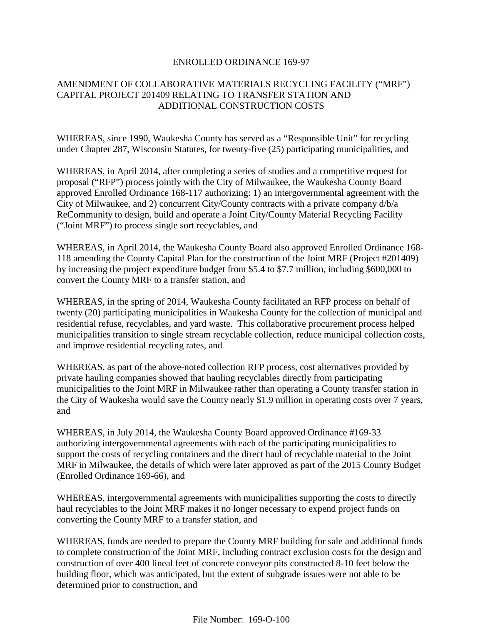## ENROLLED ORDINANCE 169-97

## AMENDMENT OF COLLABORATIVE MATERIALS RECYCLING FACILITY ("MRF") CAPITAL PROJECT 201409 RELATING TO TRANSFER STATION AND ADDITIONAL CONSTRUCTION COSTS

WHEREAS, since 1990, Waukesha County has served as a "Responsible Unit" for recycling under Chapter 287, Wisconsin Statutes, for twenty-five (25) participating municipalities, and

WHEREAS, in April 2014, after completing a series of studies and a competitive request for proposal ("RFP") process jointly with the City of Milwaukee, the Waukesha County Board approved Enrolled Ordinance 168-117 authorizing: 1) an intergovernmental agreement with the City of Milwaukee, and 2) concurrent City/County contracts with a private company d/b/a ReCommunity to design, build and operate a Joint City/County Material Recycling Facility ("Joint MRF") to process single sort recyclables, and

WHEREAS, in April 2014, the Waukesha County Board also approved Enrolled Ordinance 168- 118 amending the County Capital Plan for the construction of the Joint MRF (Project #201409) by increasing the project expenditure budget from \$5.4 to \$7.7 million, including \$600,000 to convert the County MRF to a transfer station, and

WHEREAS, in the spring of 2014, Waukesha County facilitated an RFP process on behalf of twenty (20) participating municipalities in Waukesha County for the collection of municipal and residential refuse, recyclables, and yard waste. This collaborative procurement process helped municipalities transition to single stream recyclable collection, reduce municipal collection costs, and improve residential recycling rates, and

WHEREAS, as part of the above-noted collection RFP process, cost alternatives provided by private hauling companies showed that hauling recyclables directly from participating municipalities to the Joint MRF in Milwaukee rather than operating a County transfer station in the City of Waukesha would save the County nearly \$1.9 million in operating costs over 7 years, and

WHEREAS, in July 2014, the Waukesha County Board approved Ordinance #169-33 authorizing intergovernmental agreements with each of the participating municipalities to support the costs of recycling containers and the direct haul of recyclable material to the Joint MRF in Milwaukee, the details of which were later approved as part of the 2015 County Budget (Enrolled Ordinance 169-66), and

WHEREAS, intergovernmental agreements with municipalities supporting the costs to directly haul recyclables to the Joint MRF makes it no longer necessary to expend project funds on converting the County MRF to a transfer station, and

WHEREAS, funds are needed to prepare the County MRF building for sale and additional funds to complete construction of the Joint MRF, including contract exclusion costs for the design and construction of over 400 lineal feet of concrete conveyor pits constructed 8-10 feet below the building floor, which was anticipated, but the extent of subgrade issues were not able to be determined prior to construction, and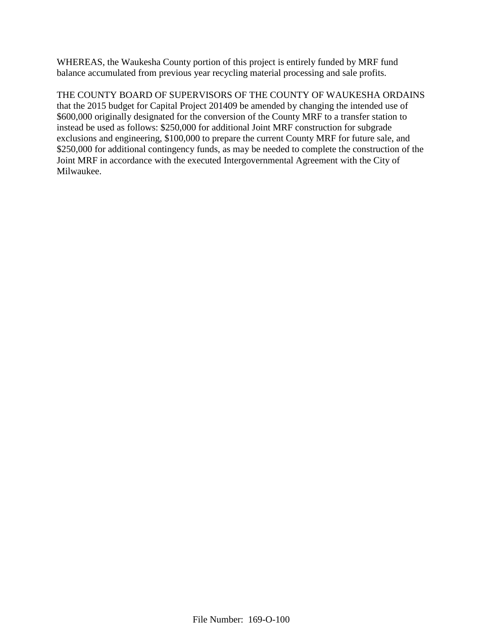WHEREAS, the Waukesha County portion of this project is entirely funded by MRF fund balance accumulated from previous year recycling material processing and sale profits.

THE COUNTY BOARD OF SUPERVISORS OF THE COUNTY OF WAUKESHA ORDAINS that the 2015 budget for Capital Project 201409 be amended by changing the intended use of \$600,000 originally designated for the conversion of the County MRF to a transfer station to instead be used as follows: \$250,000 for additional Joint MRF construction for subgrade exclusions and engineering, \$100,000 to prepare the current County MRF for future sale, and \$250,000 for additional contingency funds, as may be needed to complete the construction of the Joint MRF in accordance with the executed Intergovernmental Agreement with the City of Milwaukee.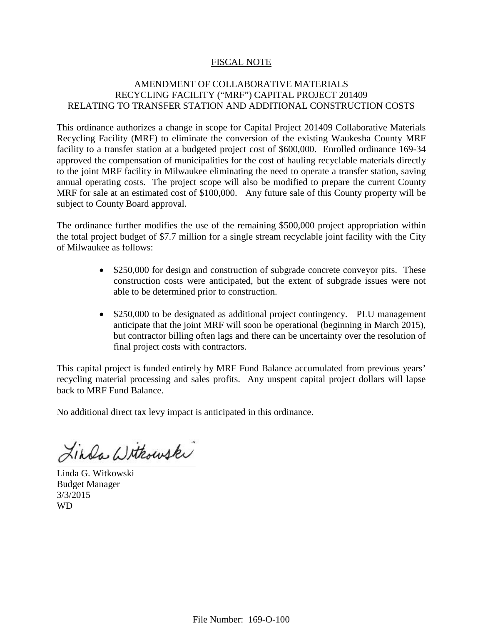## FISCAL NOTE

## AMENDMENT OF COLLABORATIVE MATERIALS RECYCLING FACILITY ("MRF") CAPITAL PROJECT 201409 RELATING TO TRANSFER STATION AND ADDITIONAL CONSTRUCTION COSTS

This ordinance authorizes a change in scope for Capital Project 201409 Collaborative Materials Recycling Facility (MRF) to eliminate the conversion of the existing Waukesha County MRF facility to a transfer station at a budgeted project cost of \$600,000. Enrolled ordinance 169-34 approved the compensation of municipalities for the cost of hauling recyclable materials directly to the joint MRF facility in Milwaukee eliminating the need to operate a transfer station, saving annual operating costs. The project scope will also be modified to prepare the current County MRF for sale at an estimated cost of \$100,000. Any future sale of this County property will be subject to County Board approval.

The ordinance further modifies the use of the remaining \$500,000 project appropriation within the total project budget of \$7.7 million for a single stream recyclable joint facility with the City of Milwaukee as follows:

- \$250,000 for design and construction of subgrade concrete conveyor pits. These construction costs were anticipated, but the extent of subgrade issues were not able to be determined prior to construction.
- \$250,000 to be designated as additional project contingency. PLU management anticipate that the joint MRF will soon be operational (beginning in March 2015), but contractor billing often lags and there can be uncertainty over the resolution of final project costs with contractors.

This capital project is funded entirely by MRF Fund Balance accumulated from previous years' recycling material processing and sales profits. Any unspent capital project dollars will lapse back to MRF Fund Balance.

No additional direct tax levy impact is anticipated in this ordinance.

Linda Withouski \_\_\_\_\_\_\_\_\_\_\_\_\_\_\_\_\_\_\_\_\_\_\_\_\_\_\_\_\_\_\_\_\_\_\_\_\_\_\_\_\_\_\_\_\_\_\_\_\_\_\_\_\_\_\_\_\_\_\_\_\_\_\_\_\_\_\_\_\_\_\_\_\_\_\_\_\_\_\_\_\_\_\_\_\_\_\_\_

Linda G. Witkowski Budget Manager 3/3/2015 WD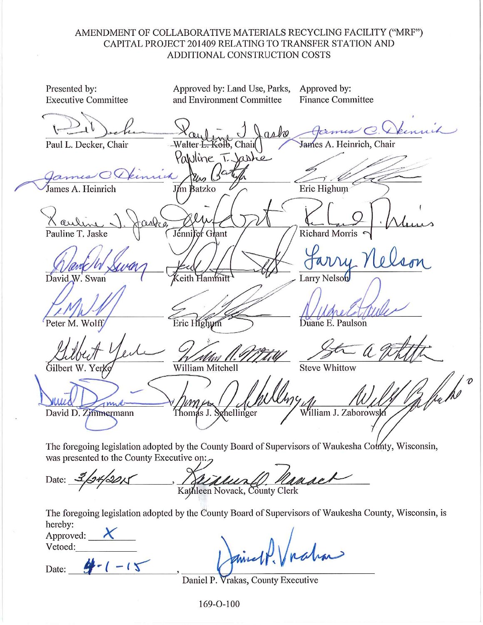## AMENDMENT OF COLLABORATIVE MATERIALS RECYCLING FACILITY ("MRF") CAPITAL PROJECT 201409 RELATING TO TRANSFER STATION AND ADDITIONAL CONSTRUCTION COSTS

Approved by: Presented by: Approved by: Land Use, Parks, **Executive Committee** and Environment Committee **Finance Committee** James C. Dennih aske James A. Heinrich, Chair Paul L. Decker, Chair olb. Chail Pawline T. Jashe James A. Heinrich Eric Highum J**í**m Batzko **Richard Morris** Pauline T. Jaske Jénnifer Grant David W. Swan Larry Nelson Eric Highum Duane E. Paulson Peter M. Wolff **Steve Whittow** Gilbert W. Yerk William Mitchell Thomas J. Schellinger David D. Zimmermann William J. Zaborowski The foregoing legislation adopted by the County Board of Supervisors of Waukesha County, Wisconsin, was presented to the County Executive on:

Kathleen Novack, County Clerk

The foregoing legislation adopted by the County Board of Supervisors of Waukesha County, Wisconsin, is hereby:

| Approved: |  |  |  |  |
|-----------|--|--|--|--|
| Vetoed:   |  |  |  |  |

Date:

Date:

Daniel P. Vrakas, County Executive

 $169 - 0 - 100$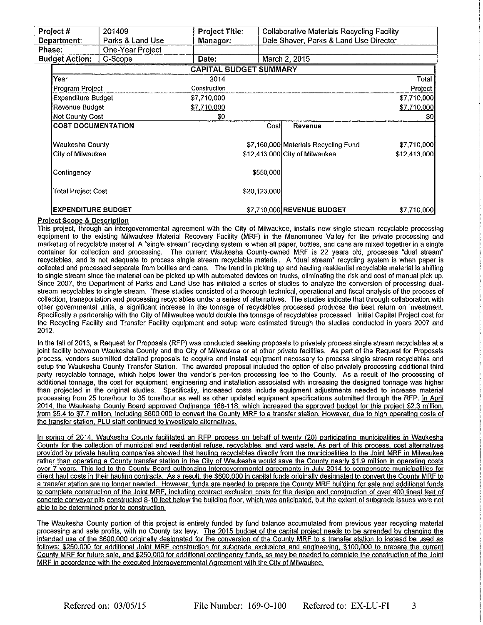| 201409<br>Project#              |                           | <b>Project Title:</b> | <b>Collaborative Materials Recycling Facility</b> |              |                                      |                     |
|---------------------------------|---------------------------|-----------------------|---------------------------------------------------|--------------|--------------------------------------|---------------------|
| Parks & Land Use<br>Department: |                           | Manager:              | Dale Shaver, Parks & Land Use Director            |              |                                      |                     |
| Phase:<br>One-Year Project      |                           |                       |                                                   |              |                                      |                     |
|                                 | <b>Budget Action:</b>     | C-Scope               | Date:                                             |              | March 2, 2015                        |                     |
|                                 |                           |                       | <b>CAPITAL BUDGET SUMMARY</b>                     |              |                                      |                     |
|                                 | Year                      |                       | 2014                                              |              |                                      | <b>Total</b>        |
|                                 | Program Project           |                       | Construction                                      |              |                                      | Project             |
|                                 | Expenditure Budget        |                       | \$7,710,000                                       |              |                                      | \$7,710,000         |
|                                 | Revenue Budget            |                       | \$7,710,000                                       |              |                                      | <u>\$7,710,000 </u> |
|                                 | Net County Cost           |                       | \$0                                               |              |                                      | \$0                 |
|                                 | <b>COST DOCUMENTATION</b> |                       |                                                   | Cost         | Revenue                              |                     |
|                                 | Waukesha County           |                       |                                                   |              | \$7,160,000 Materials Recycling Fund | \$7,710,000         |
|                                 | City of Milwaukee         |                       |                                                   |              | \$12,413,000 City of Milwaukee       | \$12,413,000        |
|                                 | Contingency               |                       |                                                   | \$550,000    |                                      |                     |
|                                 | <b>Total Project Cost</b> |                       |                                                   | \$20 123,000 |                                      |                     |
|                                 | <b>EXPENDITURE BUDGET</b> |                       |                                                   |              | \$7,710,000 REVENUE BUDGET           | \$7,710,000]        |

### **Project Scope & Description**

This project, through an intergovernmental agreement with the City of Milwaukee, installs new single stream recyclable processing equipment to the existing Milwaukee Material Recovery Facility (MRF) in the Menomonee Valley for the private processing and marketing of recyclable material. A "single stream" recycling system is when all paper, bottles, and cans are mixed together in a single container for collection and processing. The current Waukesha County-owned MRF is 22 years old, processes "dual stream" recyclables, and is not adequate to process single stream recyclable material. A "dual stream" recycling system is when paper is collected and processed separate from bottles and cans. The trend in picking up and hauling residential recyclable material is shifting to single stream since the material can be picked up with automated devices on trucks, eliminating the risk and cost of manual pick up. Since 2007, the Department of Parks and Land Use has initiated a series of studies to analyze the conversion of processing dualstream recyclables to single-stream. These studies consisted of a thorough technical, operational and fiscal analysis of the process of collection, transportation and processing recyclables under a series of alternatives. The studies indicate that through collaboration with other governmental units, a significant increase in the tonnage of recyclables processed produces the best return on investment. Specifically a partnership with the City of Milwaukee would double the tonnage of recyclables processed. Initial Capital Project cost for the Recycling Facility and Transfer Facility equipment and setup were estimated through the studies conducted in years 2007 and 2012.

In the fall of 2013, a Request for Proposals (RFP) was conducted seeking proposals to privately process single stream recyclables at a joint facility between Waukesha County and the City of Milwaukee or at other private facilities. As part of the Request for Proposals process, vendors submitted detailed proposals to acquire and install equipment necessary to process single stream recyclables and setup the Waukesha County Transfer Station. The awarded proposal included the option of also privately processing additional third party recyclable tonnage, which helps lower the vendor's per-ton processing fee to the County. As a result of the processing of additional tonnage, the cost for equipment, engineering and installation associated with increasing the designed tonnage was higher than projected in the original studies. Specifically, increased costs include equipment adjustments needed to increase material processing from 25 tons/hour to 35 tons/hour as well as other updated equipment specifications submitted through the RFP. In April 2014, the Waukesha County Board approved Ordinance 168-118, which increased the approved budget for this project \$2.3 million. from \$5.4 to \$7.7 million, including \$600,000 to convert the County MRF to a transfer station. However, due to high operating costs of the transfer station. PLU staff continued to investigate alternatives.

In spring of 2014, Waukesha County facilitated an RFP process on behalf of twenty (20) participating municipalities in Waukesha County for the collection of municipal and residential refuse, recyclables, and vard waste. As part of this process, cost alternatives provided by private hauling companies showed that hauling recyclables directly from the municipalities to the Joint MRF in Milwaukee rather than operating a County transfer station in the City of Waukesha would save the County nearly \$1.9 million in operating costs over 7 years. This led to the County Board authorizing intergovernmental agreements in July 2014 to compensate municipalities for direct haul costs in their hauling contracts. As a result, the \$600,000 in capital funds originally designated to convert the County MRF to a transfer station are no longer needed. However, funds are needed to prepare the County MRF building for sale and additional funds to complete construction of the Joint MRF, including contract exclusion costs for the design and construction of over 400 lineal feet of concrete conveyor pits constructed 8-10 feet below the building floor, which was anticipated, but the extent of subgrade issues were not able to be determined prior to construction.

The Waukesha County portion of this project is entirely funded by fund balance accumulated from previous year recycling material processing and sale profits, with no County tax levy. The 2015 budget of the capital project needs to be amended by changing the intended use of the \$600,000 originally designated for the conversion of the County MRF to a transfer station to instead be used as follows: \$250,000 for additional Joint MRF construction for subgrade exclusions and engineering, \$100,000 to prepare the current County MRF for future sale, and \$250,000 for additional contingency funds, as may be needed to complete the construction of the Joint MRF in accordance with the executed intergovernmental Agreement with the City of Milwaukee.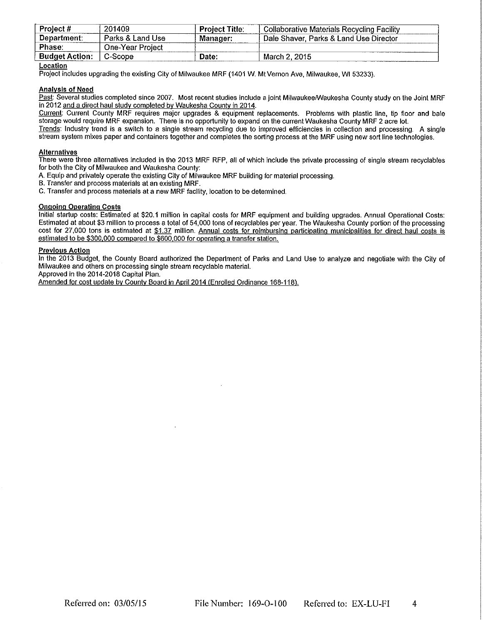| Project #             | 201409<br>.                  | Project Title: | <b>Collaborative Materials Recycling Facility</b> |
|-----------------------|------------------------------|----------------|---------------------------------------------------|
| Department:           | Parks & Land Use<br>$\cdots$ |                | Dale Shaver, Parks & Land Use Director            |
| Phase:                | One-Year Proiect             |                |                                                   |
| <b>Budget Action:</b> | ∩-Scope                      | Date:          | 2015<br>March 2.                                  |

### Location

Project includes upgrading the existing City of Milwaukee MRF (1401 W. Mt Vernon Ave, Milwaukee, WI 53233).

#### **Analysis of Need**

Past: Several studies completed since 2007. Most recent studies include a joint Milwaukee/Waukesha County study on the Joint MRF in 2012 and a direct haul study completed by Waukesha County in 2014.

Current: Current County MRF requires major upgrades & equipment replacements. Problems with plastic line, tip floor and bale storage would require MRF expansion. There is no opportunity to expand on the current Waukesha County MRF 2 acre lot. Trends: Industry trend is a switch to a single stream recycling due to improved efficiencies in collection and processing. A single

stream system mixes paper and containers together and completes the sorting process at the MRF using new sort line technologies.

#### **Alternatives**

There were three alternatives included in the 2013 MRF RFP, all of which include the private processing of single stream recyclables for both the City of Milwaukee and Waukesha County:

- A. Equip and privately operate the existing City of Milwaukee MRF building for material processing.
- B. Transfer and process materials at an existing MRF.

C. Transfer and process materials at a new MRF facility, location to be determined.

#### **Ongoing Operating Costs**

Initial startup costs: Estimated at \$20.1 million in capital costs for MRF equipment and building upgrades. Annual Operational Costs: Estimated at about \$3 million to process a total of 54,000 tons of recyclables per year. The Waukesha County portion of the processing cost for 27,000 tons is estimated at \$1.37 million. Annual costs for reimbursing participating municipalities for direct haul costs is estimated to be \$300,000 compared to \$600,000 for operating a transfer station.

Previous Action<br>In the 2013 Budget, the County Board authorized the Department of Parks and Land Use to analyze and negotiate with the City of Milwaukee and others on processing single stream recyclable material.

Approved in the 2014-2018 Capital Plan.

Amended for cost update by County Board in April 2014 (Enrolled Ordinance 168-118).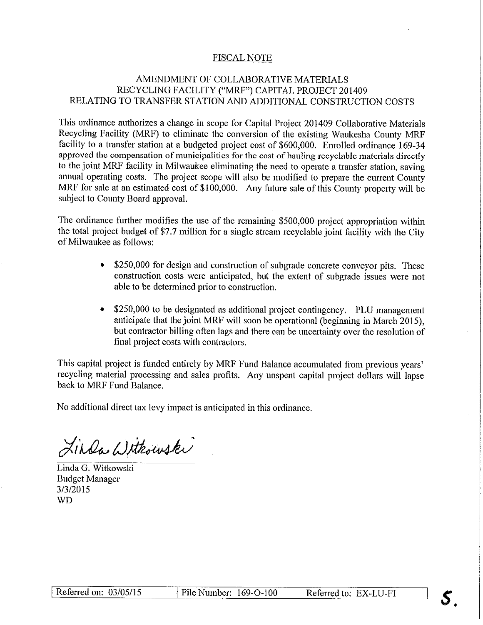## **FISCAL NOTE**

## AMENDMENT OF COLLABORATIVE MATERIALS RECYCLING FACILITY ("MRF") CAPITAL PROJECT 201409 RELATING TO TRANSFER STATION AND ADDITIONAL CONSTRUCTION COSTS

This ordinance authorizes a change in scope for Capital Project 201409 Collaborative Materials Recycling Facility (MRF) to eliminate the conversion of the existing Waukesha County MRF facility to a transfer station at a budgeted project cost of \$600,000. Enrolled ordinance 169-34 approved the compensation of municipalities for the cost of hauling recyclable materials directly to the joint MRF facility in Milwaukee eliminating the need to operate a transfer station, saving annual operating costs. The project scope will also be modified to prepare the current County MRF for sale at an estimated cost of \$100,000. Any future sale of this County property will be subject to County Board approval.

The ordinance further modifies the use of the remaining \$500,000 project appropriation within the total project budget of \$7.7 million for a single stream recyclable joint facility with the City of Milwaukee as follows:

- \$250,000 for design and construction of subgrade concrete conveyor pits. These construction costs were anticipated, but the extent of subgrade issues were not able to be determined prior to construction.
- \$250,000 to be designated as additional project contingency. PLU management anticipate that the joint MRF will soon be operational (beginning in March 2015), but contractor billing often lags and there can be uncertainty over the resolution of final project costs with contractors.

This capital project is funded entirely by MRF Fund Balance accumulated from previous years' recycling material processing and sales profits. Any unspent capital project dollars will lapse back to MRF Fund Balance.

No additional direct tax levy impact is anticipated in this ordinance.

Linda Withouski

Linda G. Witkowski **Budget Manager** 3/3/2015 **WD**